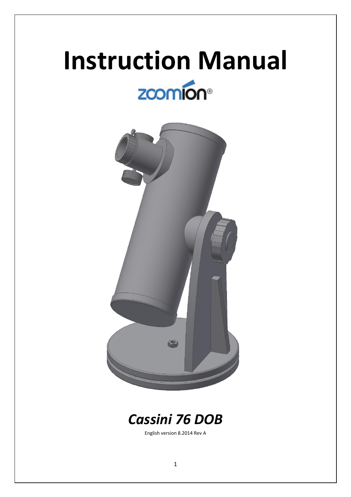# **Instruction Manual** zcomion<sup>®</sup>



# *Cassini 76 DOB*

English version 8.2014 Rev A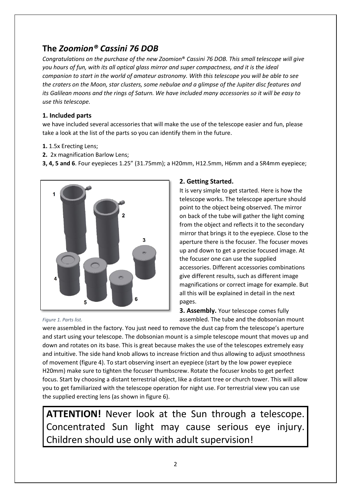# **The** *Zoomion® Cassini 76 DOB*

*Congratulations on the purchase of the new Zoomion*® *Cassini 76 DOB. This small telescope will give you hours of fun, with its all optical glass mirror and super compactness, and it is the ideal companion to start in the world of amateur astronomy. With this telescope you will be able to see the craters on the Moon, star clusters, some nebulae and a glimpse of the Jupiter disc features and its Galilean moons and the rings of Saturn. We have included many accessories so it will be easy to use this telescope.*

# **1. Included parts**

we have included several accessories that will make the use of the telescope easier and fun, please take a look at the list of the parts so you can identify them in the future.

- **1.** 1.5x Erecting Lens;
- **2.** 2x magnification Barlow Lens;

**3, 4, 5 and 6**. Four eyepieces 1.25" (31.75mm); a H20mm, H12.5mm, H6mm and a SR4mm eyepiece;



# **2. Getting Started.**

It is very simple to get started. Here is how the telescope works. The telescope aperture should point to the object being observed. The mirror on back of the tube will gather the light coming from the object and reflects it to the secondary mirror that brings it to the eyepiece. Close to the aperture there is the focuser. The focuser moves up and down to get a precise focused image. At the focuser one can use the supplied accessories. Different accessories combinations give different results, such as different image magnifications or correct image for example. But all this will be explained in detail in the next pages.

**3. Assembly.** Your telescope comes fully assembled. The tube and the dobsonian mount

*Figure 1. Parts list.*

were assembled in the factory. You just need to remove the dust cap from the telescope's aperture and start using your telescope. The dobsonian mount is a simple telescope mount that moves up and down and rotates on its base. This is great because makes the use of the telescopes extremely easy and intuitive. The side hand knob allows to increase friction and thus allowing to adjust smoothness of movement (figure 4). To start observing insert an eyepiece (start by the low power eyepiece H20mm) make sure to tighten the focuser thumbscrew. Rotate the focuser knobs to get perfect focus. Start by choosing a distant terrestrial object, like a distant tree or church tower. This will allow you to get familiarized with the telescope operation for night use. For terrestrial view you can use the supplied erecting lens (as shown in figure 6).

**ATTENTION!** Never look at the Sun through a telescope. Concentrated Sun light may cause serious eye injury. Children should use only with adult supervision!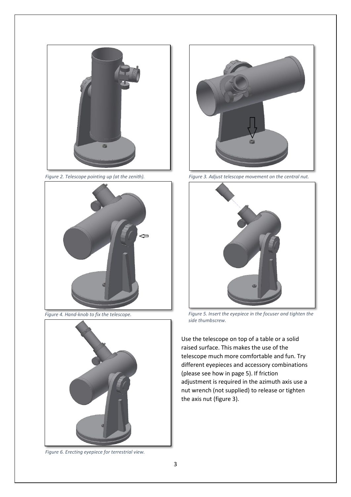





*Figure 6. Erecting eyepiece for terrestrial view.*



*Figure 2. Telescope pointing up (at the zenith). Figure 3. Adjust telescope movement on the central nut.*



*Figure 4. Hand-knob to fix the telescope. Figure 5. Insert the eyepiece in the focuser and tighten the side thumbscrew.*

Use the telescope on top of a table or a solid raised surface. This makes the use of the telescope much more comfortable and fun. Try different eyepieces and accessory combinations (please see how in page 5). If friction adjustment is required in the azimuth axis use a nut wrench (not supplied) to release or tighten the axis nut (figure 3).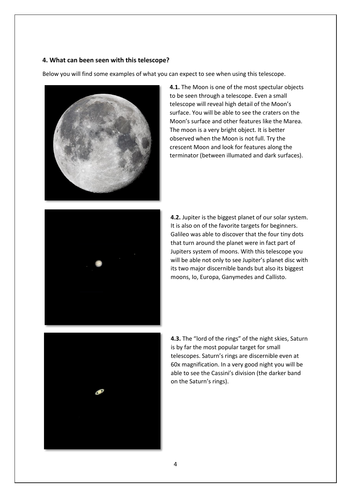# **4. What can been seen with this telescope?**

Below you will find some examples of what you can expect to see when using this telescope.



**4.1.** The Moon is one of the most spectular objects to be seen through a telescope. Even a small telescope will reveal high detail of the Moon's surface. You will be able to see the craters on the Moon's surface and other features like the Marea. The moon is a very bright object. It is better observed when the Moon is not full. Try the crescent Moon and look for features along the terminator (between illumated and dark surfaces).



**4.2.** Jupiter is the biggest planet of our solar system. It is also on of the favorite targets for beginners. Galileo was able to discover that the four tiny dots that turn around the planet were in fact part of Jupiters system of moons. With this telescope you will be able not only to see Jupiter's planet disc with its two major discernible bands but also its biggest moons, Io, Europa, Ganymedes and Callisto.



**4.3.** The "lord of the rings" of the night skies, Saturn is by far the most popular target for small telescopes. Saturn's rings are discernible even at 60x magnification. In a very good night you will be able to see the Cassini's division (the darker band on the Saturn's rings).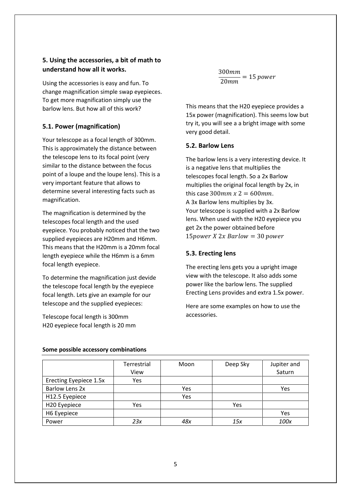# **5. Using the accessories, a bit of math to understand how all it works.**

Using the accessories is easy and fun. To change magnification simple swap eyepieces. To get more magnification simply use the barlow lens. But how all of this work?

# **5.1. Power (magnification)**

Your telescope as a focal length of 300mm. This is approximately the distance between the telescope lens to its focal point (very similar to the distance between the focus point of a loupe and the loupe lens). This is a very important feature that allows to determine several interesting facts such as magnification.

The magnification is determined by the telescopes focal length and the used eyepiece. You probably noticed that the two supplied eyepieces are H20mm and H6mm. This means that the H20mm is a 20mm focal length eyepiece while the H6mm is a 6mm focal length eyepiece.

To determine the magnification just devide the telescope focal length by the eyepiece focal length. Lets give an example for our telescope and the supplied eyepieces:

Telescope focal length is 300mm H20 eyepiece focal length is 20 mm 300  $\frac{20mm}{20mm} = 15 power$ 

This means that the H20 eyepiece provides a 15x power (magnification). This seems low but try it, you will see a a bright image with some very good detail.

## **5.2. Barlow Lens**

The barlow lens is a very interesting device. It is a negative lens that multiplies the telescopes focal length. So a 2x Barlow multiplies the original focal length by 2x, in this case  $300$  *mm x*  $2 = 600$  *mm*. A 3x Barlow lens multiplies by 3x. Your telescope is supplied with a 2x Barlow lens. When used with the H20 eyepiece you get 2x the power obtained before 15 power  $X$  2x Barlow = 30 power

# **5.3. Erecting lens**

The erecting lens gets you a upright image view with the telescope. It also adds some power like the barlow lens. The supplied Erecting Lens provides and extra 1.5x power.

Here are some examples on how to use the accessories.

|                        | Terrestrial<br>View | Moon | Deep Sky | Jupiter and<br>Saturn |
|------------------------|---------------------|------|----------|-----------------------|
| Erecting Eyepiece 1.5x | Yes                 |      |          |                       |
| <b>Barlow Lens 2x</b>  |                     | Yes  |          | Yes                   |
| H12.5 Eyepiece         |                     | Yes  |          |                       |
| H20 Eyepiece           | Yes                 |      | Yes      |                       |
| H6 Eyepiece            |                     |      |          | Yes                   |
| Power                  | 23x                 | 48x  | 15x      | 100x                  |

#### **Some possible accessory combinations**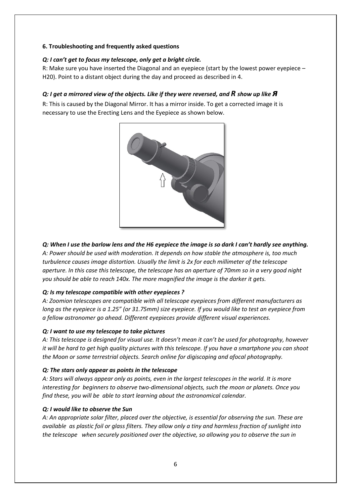# **6. Troubleshooting and frequently asked questions**

# *Q: I can't get to focus my telescope, only get a bright circle.*

R: Make sure you have inserted the Diagonal and an eyepiece (start by the lowest power eyepiece – H20). Point to a distant object during the day and proceed as described in 4.

# *Q: I get a mirrored view of the objects. Like if they were reversed, and R show up like <i>A*

R: This is caused by the Diagonal Mirror. It has a mirror inside. To get a corrected image it is necessary to use the Erecting Lens and the Eyepiece as shown below.



# *Q: When I use the barlow lens and the H6 eyepiece the image is so dark I can't hardly see anything.*

*A: Power should be used with moderation. It depends on how stable the atmosphere is, too much turbulence causes image distortion. Usually the limit is 2x for each millimeter of the telescope aperture. In this case this telescope, the telescope has an aperture of 70mm so in a very good night you should be able to reach 140x. The more magnified the image is the darker it gets.*

# *Q: Is my telescope compatible with other eyepieces ?*

*A: Zoomion telescopes are compatible with all telescope eyepieces from different manufacturers as long as the eyepiece is a 1.25" (or 31.75mm) size eyepiece. If you would like to test an eyepiece from a fellow astronomer go ahead. Different eyepieces provide different visual experiences.*

# *Q: I want to use my telescope to take pictures*

*A: This telescope is designed for visual use. It doesn't mean it can't be used for photography, however it will be hard to get high quality pictures with this telescope. If you have a smartphone you can shoot the Moon or some terrestrial objects. Search online for digiscoping and afocal photography.*

# *Q: The stars only appear as points in the telescope*

*A: Stars will always appear only as points, even in the largest telescopes in the world. It is more interesting for beginners to observe two-dimensional objects, such the moon or planets. Once you find these, you will be able to start learning about the astronomical calendar.*

# *Q: I would like to observe the Sun*

*A: An appropriate solar filter, placed over the objective, is essential for observing the sun. These are available as plastic foil or glass filters. They allow only a tiny and harmless fraction of sunlight into the telescope when securely positioned over the objective, so allowing you to observe the sun in*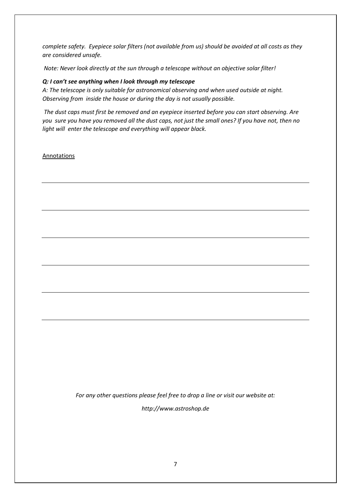*complete safety. Eyepiece solar filters (not available from us) should be avoided at all costs as they are considered unsafe.*

*Note: Never look directly at the sun through a telescope without an objective solar filter!*

### *Q: I can't see anything when I look through my telescope*

*A: The telescope is only suitable for astronomical observing and when used outside at night. Observing from inside the house or during the day is not usually possible.*

*The dust caps must first be removed and an eyepiece inserted before you can start observing. Are you sure you have you removed all the dust caps, not just the small ones? If you have not, then no light will enter the telescope and everything will appear black.*

Annotations

*For any other questions please feel free to drop a line or visit our website at: http://www.astroshop.de*